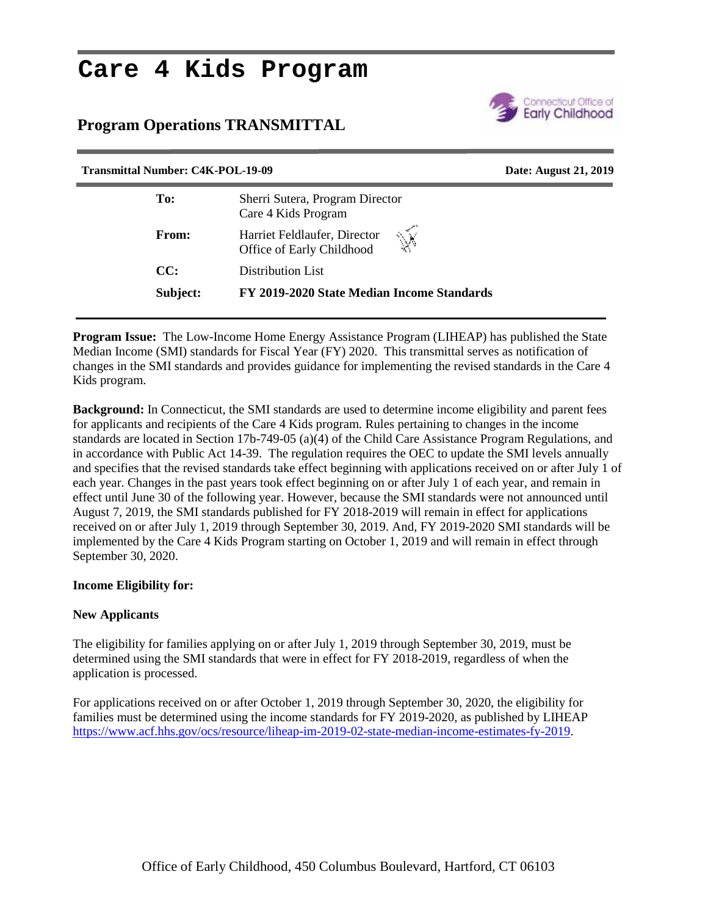# **Care 4 Kids Program**

# **Program Operations TRANSMITTAL**



| <b>Transmittal Number: C4K-POL-19-09</b> |                                                                | Date: August 21, 2019 |
|------------------------------------------|----------------------------------------------------------------|-----------------------|
| To:                                      | Sherri Sutera, Program Director<br>Care 4 Kids Program         |                       |
| From:                                    | Ŵ<br>Harriet Feldlaufer, Director<br>Office of Early Childhood |                       |
| CC:                                      | Distribution List                                              |                       |
| Subject:                                 | FY 2019-2020 State Median Income Standards                     |                       |
|                                          |                                                                |                       |

**Program Issue:** The Low-Income Home Energy Assistance Program (LIHEAP) has published the State Median Income (SMI) standards for Fiscal Year (FY) 2020. This transmittal serves as notification of changes in the SMI standards and provides guidance for implementing the revised standards in the Care 4 Kids program.

**Background:** In Connecticut, the SMI standards are used to determine income eligibility and parent fees for applicants and recipients of the Care 4 Kids program. Rules pertaining to changes in the income standards are located in Section 17b-749-05 (a)(4) of the Child Care Assistance Program Regulations, and in accordance with Public Act 14-39. The regulation requires the OEC to update the SMI levels annually and specifies that the revised standards take effect beginning with applications received on or after July 1 of each year. Changes in the past years took effect beginning on or after July 1 of each year, and remain in effect until June 30 of the following year. However, because the SMI standards were not announced until August 7, 2019, the SMI standards published for FY 2018-2019 will remain in effect for applications received on or after July 1, 2019 through September 30, 2019. And, FY 2019-2020 SMI standards will be implemented by the Care 4 Kids Program starting on October 1, 2019 and will remain in effect through September 30, 2020.

# **Income Eligibility for:**

# **New Applicants**

The eligibility for families applying on or after July 1, 2019 through September 30, 2019, must be determined using the SMI standards that were in effect for FY 2018-2019, regardless of when the application is processed.

For applications received on or after October 1, 2019 through September 30, 2020, the eligibility for families must be determined using the income standards for FY 2019-2020, as published by LIHEAP https://www.acf.hhs.gov/ocs/resource/liheap-im-2019-02-state-median-income-estimates-fy-2019.